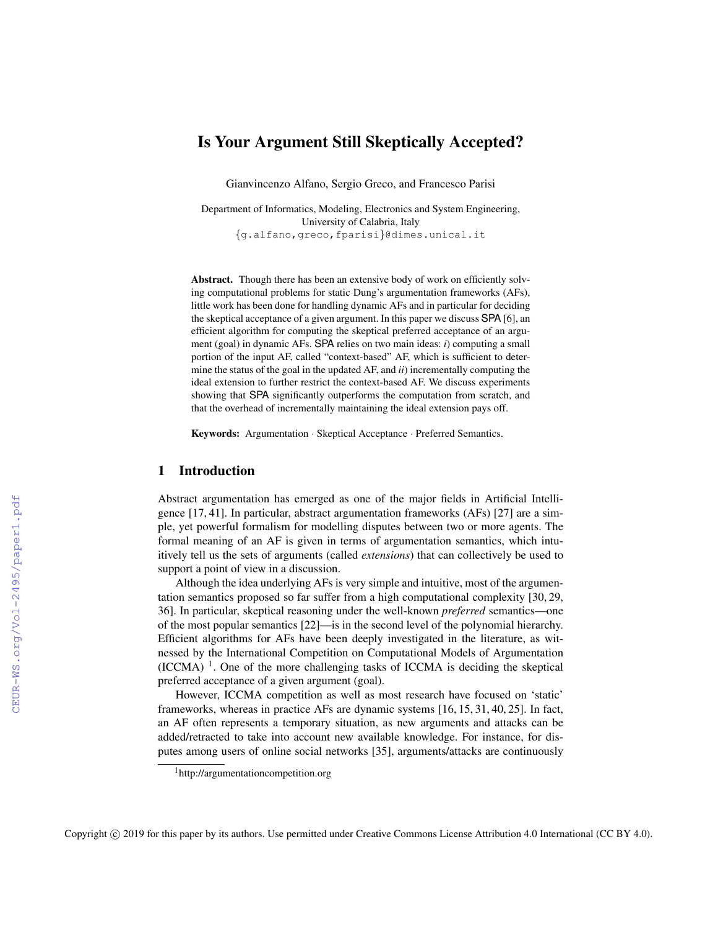# Is Your Argument Still Skeptically Accepted?

Gianvincenzo Alfano, Sergio Greco, and Francesco Parisi

Department of Informatics, Modeling, Electronics and System Engineering, University of Calabria, Italy {g.alfano,greco,fparisi}@dimes.unical.it

Abstract. Though there has been an extensive body of work on efficiently solving computational problems for static Dung's argumentation frameworks (AFs), little work has been done for handling dynamic AFs and in particular for deciding the skeptical acceptance of a given argument. In this paper we discuss SPA [6], an efficient algorithm for computing the skeptical preferred acceptance of an argument (goal) in dynamic AFs. SPA relies on two main ideas: *i*) computing a small portion of the input AF, called "context-based" AF, which is sufficient to determine the status of the goal in the updated AF, and *ii*) incrementally computing the ideal extension to further restrict the context-based AF. We discuss experiments showing that SPA significantly outperforms the computation from scratch, and that the overhead of incrementally maintaining the ideal extension pays off.

Keywords: Argumentation · Skeptical Acceptance · Preferred Semantics.

# 1 Introduction

Abstract argumentation has emerged as one of the major fields in Artificial Intelligence [17, 41]. In particular, abstract argumentation frameworks (AFs) [27] are a simple, yet powerful formalism for modelling disputes between two or more agents. The formal meaning of an AF is given in terms of argumentation semantics, which intuitively tell us the sets of arguments (called *extensions*) that can collectively be used to support a point of view in a discussion.

Although the idea underlying AFs is very simple and intuitive, most of the argumentation semantics proposed so far suffer from a high computational complexity [30, 29, 36]. In particular, skeptical reasoning under the well-known *preferred* semantics—one of the most popular semantics [22]—is in the second level of the polynomial hierarchy. Efficient algorithms for AFs have been deeply investigated in the literature, as witnessed by the International Competition on Computational Models of Argumentation  $(ICCMA)$ <sup>1</sup>. One of the more challenging tasks of ICCMA is deciding the skeptical preferred acceptance of a given argument (goal).

However, ICCMA competition as well as most research have focused on 'static' frameworks, whereas in practice AFs are dynamic systems [16, 15, 31, 40, 25]. In fact, an AF often represents a temporary situation, as new arguments and attacks can be added/retracted to take into account new available knowledge. For instance, for disputes among users of online social networks [35], arguments/attacks are continuously

<sup>1</sup>http://argumentationcompetition.org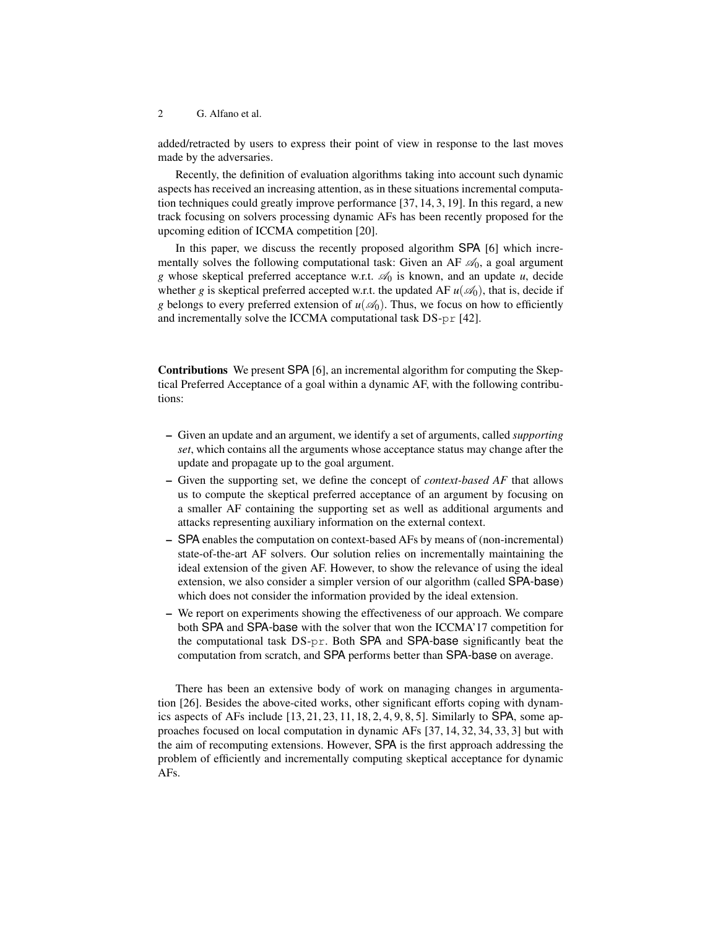2 G. Alfano et al.

added/retracted by users to express their point of view in response to the last moves made by the adversaries.

Recently, the definition of evaluation algorithms taking into account such dynamic aspects has received an increasing attention, as in these situations incremental computation techniques could greatly improve performance [37, 14, 3, 19]. In this regard, a new track focusing on solvers processing dynamic AFs has been recently proposed for the upcoming edition of ICCMA competition [20].

In this paper, we discuss the recently proposed algorithm SPA [6] which incrementally solves the following computational task: Given an AF  $\mathcal{A}_0$ , a goal argument *g* whose skeptical preferred acceptance w.r.t.  $\mathcal{A}_0$  is known, and an update *u*, decide whether *g* is skeptical preferred accepted w.r.t. the updated AF  $u(\mathcal{A}_0)$ , that is, decide if *g* belongs to every preferred extension of  $u(\mathcal{A}_0)$ . Thus, we focus on how to efficiently and incrementally solve the ICCMA computational task DS-pr [42].

Contributions We present SPA [6], an incremental algorithm for computing the Skeptical Preferred Acceptance of a goal within a dynamic AF, with the following contributions:

- Given an update and an argument, we identify a set of arguments, called *supporting set*, which contains all the arguments whose acceptance status may change after the update and propagate up to the goal argument.
- Given the supporting set, we define the concept of *context-based AF* that allows us to compute the skeptical preferred acceptance of an argument by focusing on a smaller AF containing the supporting set as well as additional arguments and attacks representing auxiliary information on the external context.
- SPA enables the computation on context-based AFs by means of (non-incremental) state-of-the-art AF solvers. Our solution relies on incrementally maintaining the ideal extension of the given AF. However, to show the relevance of using the ideal extension, we also consider a simpler version of our algorithm (called SPA-base) which does not consider the information provided by the ideal extension.
- We report on experiments showing the effectiveness of our approach. We compare both SPA and SPA-base with the solver that won the ICCMA'17 competition for the computational task DS-pr. Both SPA and SPA-base significantly beat the computation from scratch, and SPA performs better than SPA-base on average.

There has been an extensive body of work on managing changes in argumentation [26]. Besides the above-cited works, other significant efforts coping with dynamics aspects of AFs include  $[13, 21, 23, 11, 18, 2, 4, 9, 8, 5]$ . Similarly to SPA, some approaches focused on local computation in dynamic AFs [37, 14, 32, 34, 33, 3] but with the aim of recomputing extensions. However, SPA is the first approach addressing the problem of efficiently and incrementally computing skeptical acceptance for dynamic AFs.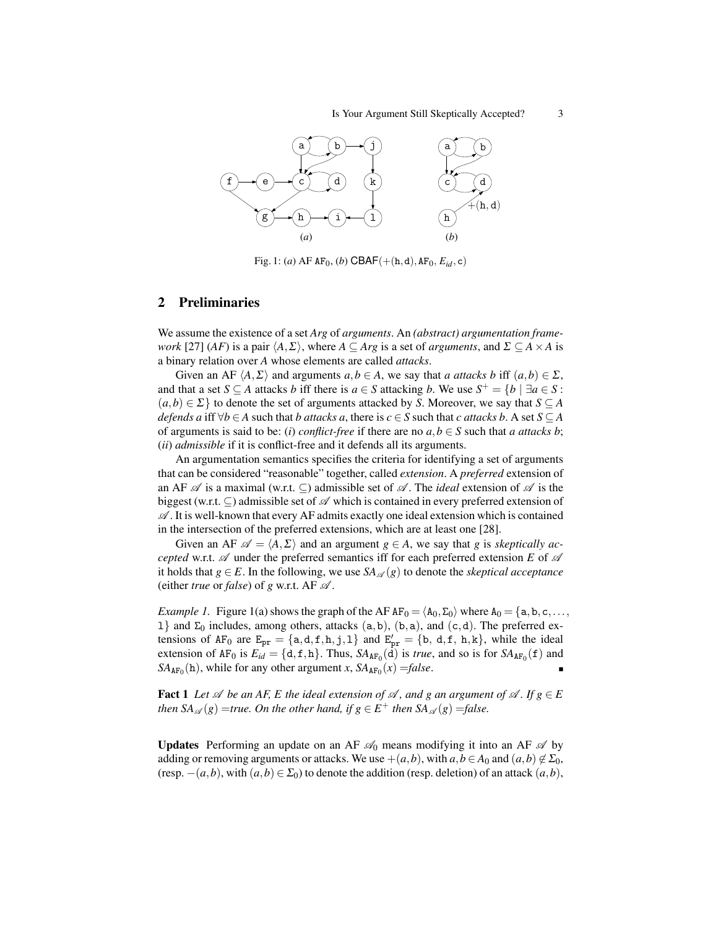#### Is Your Argument Still Skeptically Accepted? 3



Fig. 1: (*a*) AF  $AF_0$ , (*b*) CBAF(+(h,d),  $AF_0$ ,  $E_{id}$ , c)

#### 2 Preliminaries

We assume the existence of a set *Arg* of *arguments*. An *(abstract) argumentation framework* [27] (*AF*) is a pair  $\langle A, \Sigma \rangle$ , where  $A \subseteq Arg$  is a set of *arguments*, and  $\Sigma \subseteq A \times A$  is a binary relation over *A* whose elements are called *attacks*.

Given an AF  $\langle A, \Sigma \rangle$  and arguments  $a, b \in A$ , we say that *a attacks b* iff  $(a, b) \in \Sigma$ , and that a set *S*  $\subseteq$  *A* attacks *b* iff there is  $a \in S$  attacking *b*. We use  $S^+ = \{b \mid \exists a \in S$ :  $(a,b) \in \Sigma$  to denote the set of arguments attacked by *S*. Moreover, we say that  $S \subseteq A$ *defends a* iff  $\forall b \in A$  such that *b* attacks a, there is  $c \in S$  such that *c* attacks b. A set  $S \subseteq A$ of arguments is said to be: (*i*) *conflict-free* if there are no  $a, b \in S$  such that *a attacks b*; (*ii*) *admissible* if it is conflict-free and it defends all its arguments.

An argumentation semantics specifies the criteria for identifying a set of arguments that can be considered "reasonable" together, called *extension*. A *preferred* extension of an AF  $\mathscr A$  is a maximal (w.r.t.  $\subseteq$ ) admissible set of  $\mathscr A$ . The *ideal* extension of  $\mathscr A$  is the biggest (w.r.t.  $\subseteq$ ) admissible set of  $\mathscr A$  which is contained in every preferred extension of  $\mathscr A$ . It is well-known that every AF admits exactly one ideal extension which is contained in the intersection of the preferred extensions, which are at least one [28].

Given an AF  $\mathscr{A} = \langle A, \Sigma \rangle$  and an argument  $g \in A$ , we say that *g* is *skeptically accepted* w.r.t.  $\mathscr A$  under the preferred semantics iff for each preferred extension *E* of  $\mathscr A$ it holds that  $g \in E$ . In the following, we use  $SA_{\mathscr{A}}(g)$  to denote the *skeptical acceptance* (either *true* or *false*) of *g* w.r.t. AF  $\mathcal{A}$ .

*Example 1.* Figure 1(a) shows the graph of the AF  $AF_0 = \langle A_0, \Sigma_0 \rangle$  where  $A_0 = \{a, b, c, \ldots, b\}$ l and Σ<sub>0</sub> includes, among others, attacks (a, b), (b, a), and (c, d). The preferred extensions of AF<sub>0</sub> are  $E_{pr} = \{a,d,f,h,j,1\}$  and  $E'_{pr} = \{b,d,f,h,k\}$ , while the ideal extension of  $AF_0$  is  $E_{id} = \{d, f, h\}$ . Thus,  $SA_{AF_0}(d)$  is *true*, and so is for  $SA_{AF_0}(f)$  and  $SA_{AF_0}(\mathbf{h})$ , while for any other argument *x*,  $SA_{AF_0}(x) = false$ .

**Fact 1** *Let*  $\mathscr A$  *be an AF, E the ideal extension of*  $\mathscr A$ *, and g an argument of*  $\mathscr A$ *. If*  $g \in E$ *then*  $SA_{\mathscr{A}}(g)$  =*true. On the other hand, if*  $g \in E^+$  *then*  $SA_{\mathscr{A}}(g)$  =*false.* 

**Updates** Performing an update on an AF  $\mathcal{A}_0$  means modifying it into an AF  $\mathcal{A}$  by adding or removing arguments or attacks. We use  $+(a,b)$ , with  $a,b \in A_0$  and  $(a,b) \notin \Sigma_0$ , (resp.  $-(a,b)$ , with  $(a,b) \in \Sigma_0$ ) to denote the addition (resp. deletion) of an attack  $(a,b)$ ,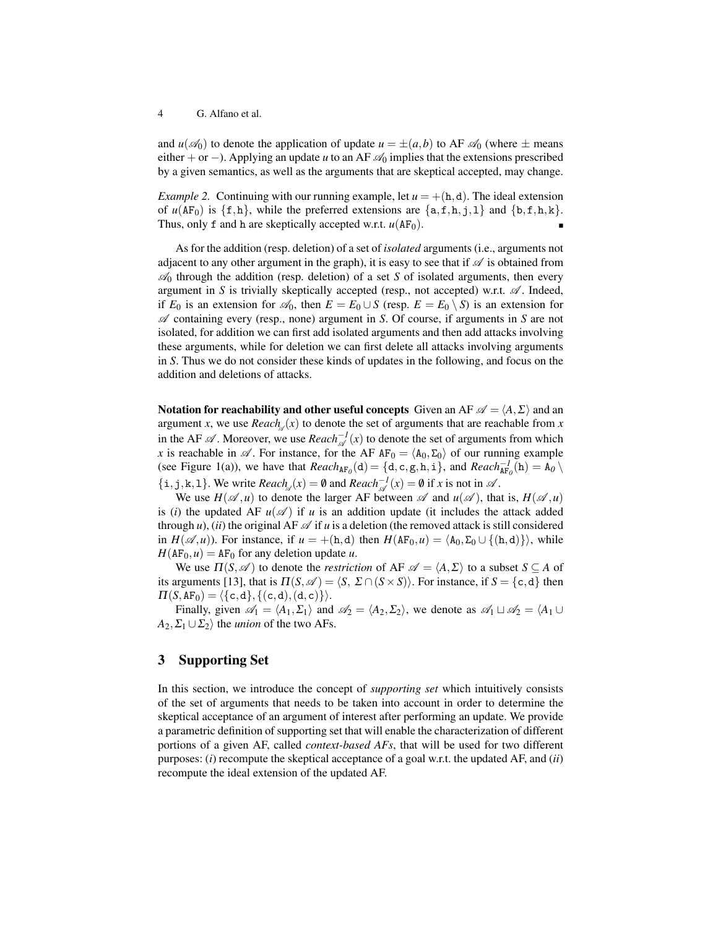and  $u(\mathcal{A}_0)$  to denote the application of update  $u = \pm(a, b)$  to AF  $\mathcal{A}_0$  (where  $\pm$  means either + or −). Applying an update *u* to an AF  $\mathcal{A}_0$  implies that the extensions prescribed by a given semantics, as well as the arguments that are skeptical accepted, may change.

*Example 2.* Continuing with our running example, let  $u = +(h,d)$ . The ideal extension of  $u(\text{AF}_0)$  is  $\{f,h\}$ , while the preferred extensions are  $\{a,f,h,i,1\}$  and  $\{b,f,h,k\}$ . Thus, only f and h are skeptically accepted w.r.t.  $u(AF<sub>0</sub>)$ .

As for the addition (resp. deletion) of a set of *isolated* arguments (i.e., arguments not adjacent to any other argument in the graph), it is easy to see that if  $\mathscr A$  is obtained from  $\mathcal{A}_0$  through the addition (resp. deletion) of a set *S* of isolated arguments, then every argument in *S* is trivially skeptically accepted (resp., not accepted) w.r.t.  $\mathscr A$ . Indeed, if  $E_0$  is an extension for  $\mathscr{A}_0$ , then  $E = E_0 \cup S$  (resp.  $E = E_0 \setminus S$ ) is an extension for A containing every (resp., none) argument in *S*. Of course, if arguments in *S* are not isolated, for addition we can first add isolated arguments and then add attacks involving these arguments, while for deletion we can first delete all attacks involving arguments in *S*. Thus we do not consider these kinds of updates in the following, and focus on the addition and deletions of attacks.

Notation for reachability and other useful concepts Given an AF  $\mathscr{A} = \langle A, \Sigma \rangle$  and an argument *x*, we use  $Reach_{\mathcal{A}}(x)$  to denote the set of arguments that are reachable from *x* in the AF  $\mathscr A$ . Moreover, we use  $Reach_{\mathscr A}^{-1}(x)$  to denote the set of arguments from which *x* is reachable in  $\mathscr A$ . For instance, for the AF  $AF_0 = \langle A_0, \Sigma_0 \rangle$  of our running example (see Figure 1(a)), we have that  $Reach_{AF_0}(d) = \{d, c, g, h, i\}$ , and  $Reach_{AF_0}^{-1}(h) = A_0 \setminus$ { $\text{i}, \text{j}, \text{k}, \text{1}$ }. We write *Reach*<sub>A</sub> $(x) = \emptyset$  and *Reach*<sub>A</sub> $f(x) = \emptyset$  if *x* is not in A.

We use  $H(\mathscr{A}, u)$  to denote the larger AF between  $\mathscr{A}$  and  $u(\mathscr{A})$ , that is,  $H(\mathscr{A}, u)$ is (*i*) the updated AF  $u(\mathscr{A})$  if *u* is an addition update (it includes the attack added through *u*), *(ii)* the original AF  $\mathscr A$  if *u* is a deletion (the removed attack is still considered in  $H(\mathscr{A}, u)$ ). For instance, if  $u = +(h, d)$  then  $H(AF_0, u) = \langle A_0, \Sigma_0 \cup \{(h, d)\}\rangle$ , while  $H(\text{AF}_0, u) = \text{AF}_0$  for any deletion update *u*.

We use  $\Pi(S, \mathscr{A})$  to denote the *restriction* of AF  $\mathscr{A} = \langle A, \Sigma \rangle$  to a subset  $S \subseteq A$  of its arguments [13], that is  $\Pi(S, \mathscr{A}) = \langle S, \Sigma \cap (S \times S) \rangle$ . For instance, if  $S = \{c, d\}$  then  $\Pi(S, AF_0) = \langle \{c,d\}, \{(c,d),(d,c)\}\rangle.$ 

Finally, given  $\mathscr{A}_1 = \langle A_1, \Sigma_1 \rangle$  and  $\mathscr{A}_2 = \langle A_2, \Sigma_2 \rangle$ , we denote as  $\mathscr{A}_1 \sqcup \mathscr{A}_2 = \langle A_1 \cup A_2 \rangle$  $A_2, \Sigma_1 \cup \Sigma_2$  the *union* of the two AFs.

### 3 Supporting Set

In this section, we introduce the concept of *supporting set* which intuitively consists of the set of arguments that needs to be taken into account in order to determine the skeptical acceptance of an argument of interest after performing an update. We provide a parametric definition of supporting set that will enable the characterization of different portions of a given AF, called *context-based AFs*, that will be used for two different purposes: (*i*) recompute the skeptical acceptance of a goal w.r.t. the updated AF, and (*ii*) recompute the ideal extension of the updated AF.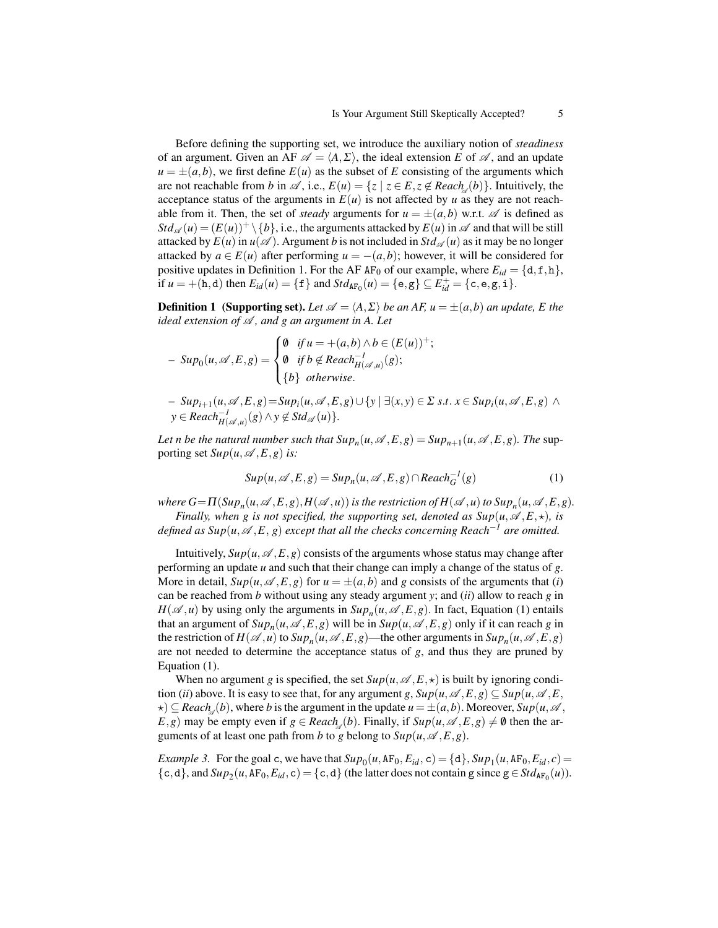Before defining the supporting set, we introduce the auxiliary notion of *steadiness* of an argument. Given an AF  $\mathscr{A} = \langle A, \Sigma \rangle$ , the ideal extension *E* of  $\mathscr{A}$ , and an update  $u = \pm (a, b)$ , we first define  $E(u)$  as the subset of *E* consisting of the arguments which are not reachable from *b* in  $\mathscr A$ , i.e.,  $E(u) = \{z \mid z \in E, z \notin \text{Reach}_{\mathscr A}(b)\}\)$ . Intuitively, the acceptance status of the arguments in  $E(u)$  is not affected by *u* as they are not reachable from it. Then, the set of *steady* arguments for  $u = \pm (a, b)$  w.r.t.  $\mathscr A$  is defined as  $Std_{\mathscr{A}}(u) = (E(u))^+ \setminus \{b\}, i.e.,$  the arguments attacked by  $E(u)$  in  $\mathscr A$  and that will be still attacked by  $E(u)$  in  $u(\mathscr{A})$ . Argument *b* is not included in  $Std_{\mathscr{A}}(u)$  as it may be no longer attacked by  $a \in E(u)$  after performing  $u = -(a, b)$ ; however, it will be considered for positive updates in Definition 1. For the AF AF<sub>0</sub> of our example, where  $E_{id} = \{d, f, h\}$ , if  $u = +(h,d)$  then  $E_{id}(u) = \{f\}$  and  $Std_{AF_0}(u) = \{e,g\} \subseteq E_{id}^+ = \{c,e,g,i\}.$ 

**Definition 1** (Supporting set). Let  $\mathscr{A} = \langle A, \Sigma \rangle$  be an AF,  $u = \pm(a, b)$  an update, E the *ideal extension of* A *, and g an argument in A. Let*

$$
- Sup_0(u, \mathscr{A}, E, g) = \begin{cases} \emptyset & \text{if } u = +(a, b) \land b \in (E(u))^+; \\ \emptyset & \text{if } b \notin Reach_{H(\mathscr{A}, u)}^{-1}(g); \\ \{b\} & \text{otherwise.} \end{cases}
$$

 $-$  Sup<sub>i+1</sub>(u,  $\mathscr{A}, E, g$ )=Sup<sub>i</sub>(u,  $\mathscr{A}, E, g$ ) $\cup$ {y| $\exists$ (x, y)  $\in \Sigma$  s.t.  $x \in Sup_i(u, \mathscr{A}, E, g)$   $\wedge$  $y \in \text{Reach}_{H(\mathscr{A},u)}^{-1}(g) \land y \notin \text{Std}_{\mathscr{A}}(u) \}.$ 

Let n be the natural number such that  $Sup_n(u, \mathscr{A}, E, g) = Sup_{n+1}(u, \mathscr{A}, E, g)$ . The supporting set  $Sup(u, \mathcal{A}, E, g)$  *is:* 

$$
Sup(u, \mathscr{A}, E, g) = Sup_n(u, \mathscr{A}, E, g) \cap Reach_G^{-1}(g)
$$
 (1)

where  $G= \Pi(\mathit{Sup}_n(u,\mathscr{A},E,g),H(\mathscr{A},u))$  is the restriction of  $H(\mathscr{A},u)$  to  $\mathit{Sup}_n(u,\mathscr{A},E,g).$ 

*Finally, when g is not specified, the supporting set, denoted as*  $\text{Sup}(\mu,\mathscr{A},E,\star)$ *<i>, is defined as Sup*( $u, \mathcal{A}, E, g$ ) *except that all the checks concerning Reach<sup>-1</sup> are omitted.* 

Intuitively,  $Sup(u, \mathcal{A}, E, g)$  consists of the arguments whose status may change after performing an update *u* and such that their change can imply a change of the status of *g*. More in detail,  $Sup(u, \mathcal{A}, E, g)$  for  $u = \pm(a, b)$  and g consists of the arguments that (*i*) can be reached from *b* without using any steady argument *y*; and (*ii*) allow to reach *g* in  $H(\mathscr{A}, u)$  by using only the arguments in  $\mathfrak{Sup}_n(u, \mathscr{A}, E, g)$ . In fact, Equation (1) entails that an argument of  $Sup_n(u, \mathscr{A}, E, g)$  will be in  $Sup(u, \mathscr{A}, E, g)$  only if it can reach *g* in the restriction of  $H(\mathscr{A}, u)$  to  $Sup_n(u, \mathscr{A}, E, g)$ —the other arguments in  $Sup_n(u, \mathscr{A}, E, g)$ are not needed to determine the acceptance status of *g*, and thus they are pruned by Equation (1).

When no argument *g* is specified, the set  $Sup(u, \mathscr{A}, E, \star)$  is built by ignoring condition (*ii*) above. It is easy to see that, for any argument *g*,  $Sup(u, \mathcal{A}, E, g) \subseteq Sup(u, \mathcal{A}, E, g)$  $\star$ )  $\subseteq$  *Reach*<sub>4</sub>(*b*), where *b* is the argument in the update  $u = \pm(a, b)$ . Moreover, *Sup*(*u*,  $\mathscr A$ , *E*,*g*) may be empty even if  $g \in$  *Reach*<sub>A</sub>(*b*). Finally, if  $Sup(u, \mathcal{A}, E, g) \neq \emptyset$  then the arguments of at least one path from *b* to *g* belong to  $\text{Sup}(u, \mathcal{A}, E, g)$ .

*Example 3.* For the goal c, we have that  $Sup_0(u, AF_0, E_{id}, c) = \{d\}, Sup_1(u, AF_0, E_{id}, c) =$  $\{c, d\}$ , and  $Sup_2(u, AF_0, E_{id}, c) = \{c, d\}$  (the latter does not contain g since  $g \in Std_{AF_0}(u)$ ).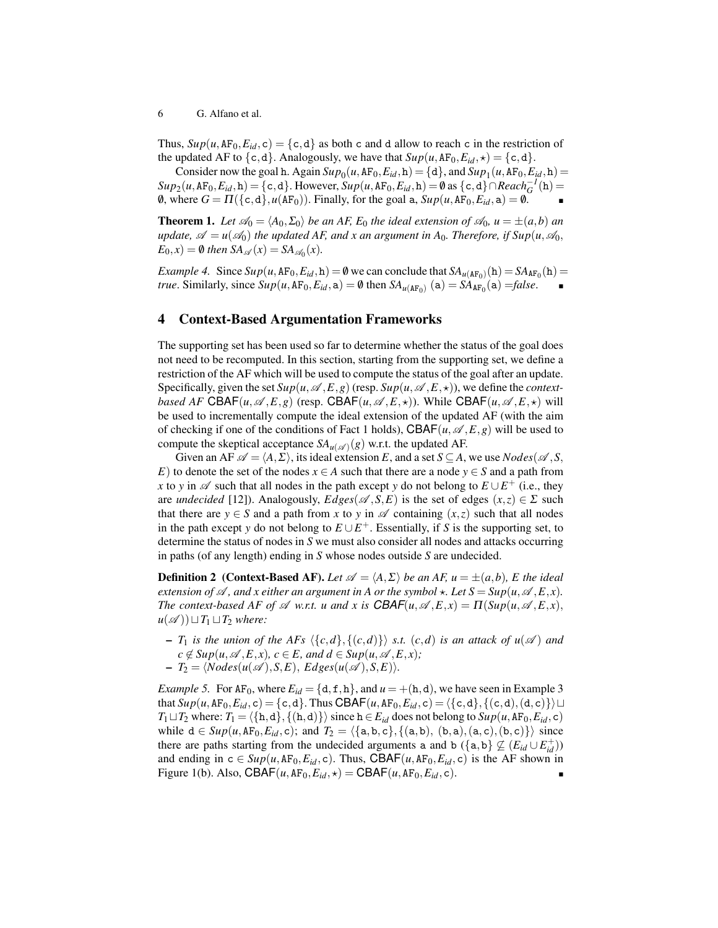6 G. Alfano et al.

Thus,  $Sup(u, AF_0, E_{id}, c) = \{c, d\}$  as both c and d allow to reach c in the restriction of the updated AF to {c,d}. Analogously, we have that  $\text{Sup}(u, \text{AF}_0, E_{id}, \star) = \{\text{c}, \text{d}\}.$ 

Consider now the goal h. Again  $Sup_0(u, AF_0, E_{id}, h) = \{d\}$ , and  $Sup_1(u, AF_0, E_{id}, h) =$  $Sup_2(u, AF_0, E_{id}, h) = \{c, d\}$ . However,  $Sup(u, AF_0, E_{id}, h) = \emptyset$  as  $\{c, d\} \cap Recall_G^{-1}(h) =$ 0, where  $G = \Pi(\lbrace c, d \rbrace, u(\lbrace A F_0 \rbrace))$ . Finally, for the goal a,  $\text{Sup}(u, \lbrace A F_0, E_{id}, a \rbrace) = \emptyset$ .

**Theorem 1.** Let  $\mathcal{A}_0 = \langle A_0, \Sigma_0 \rangle$  be an AF,  $E_0$  the ideal extension of  $\mathcal{A}_0$ ,  $u = \pm(a, b)$  and *update,*  $\mathscr{A} = u(\mathscr{A}_0)$  *the updated AF, and x an argument in A<sub>0</sub>. Therefore, if Sup(u,*  $\mathscr{A}_0$ *,*  $E_0$ , *x*) = **0** *then*  $SA_{\mathscr{A}}(x) = SA_{\mathscr{A}_0}(x)$ .

*Example 4.* Since  $Sup(u, AF_0, E_{id}, h) = \emptyset$  we can conclude that  $SA_{u(AF_0)}(h) = SA_{AF_0}(h)$ *true*. Similarly, since  $Sup(u, AF_0, E_{id}, a) = \emptyset$  then  $SA_{u(AF_0)}(a) = SA_{AF_0}(a) = false$ .

# 4 Context-Based Argumentation Frameworks

The supporting set has been used so far to determine whether the status of the goal does not need to be recomputed. In this section, starting from the supporting set, we define a restriction of the AF which will be used to compute the status of the goal after an update. Specifically, given the set  $Sup(u, \mathcal{A}, E, g)$  (resp.  $Sup(u, \mathcal{A}, E, \star)$ ), we define the *contextbased AF* CBAF(*u*,  $\mathscr{A}, E, g$ ) (resp. CBAF(*u*,  $\mathscr{A}, E, \star$ )). While CBAF(*u*,  $\mathscr{A}, E, \star$ ) will be used to incrementally compute the ideal extension of the updated AF (with the aim of checking if one of the conditions of Fact 1 holds),  $CBAF(u, \mathscr{A}, E, g)$  will be used to compute the skeptical acceptance  $SA_{u(\mathscr{A})}(g)$  w.r.t. the updated AF.

Given an AF  $\mathscr{A} = \langle A, \Sigma \rangle$ , its ideal extension *E*, and a set *S* ⊆ *A*, we use *Nodes*( $\mathscr{A}, S$ , *E*) to denote the set of the nodes  $x \in A$  such that there are a node  $y \in S$  and a path from *x* to *y* in  $\mathscr A$  such that all nodes in the path except *y* do not belong to  $E \cup E^+$  (i.e., they are *undecided* [12]). Analogously,  $Edges(\mathscr{A}, S, E)$  is the set of edges  $(x, z) \in \Sigma$  such that there are  $y \in S$  and a path from *x* to *y* in  $\mathscr A$  containing  $(x, z)$  such that all nodes in the path except *y* do not belong to  $E \cup E^+$ . Essentially, if *S* is the supporting set, to determine the status of nodes in *S* we must also consider all nodes and attacks occurring in paths (of any length) ending in *S* whose nodes outside *S* are undecided.

**Definition 2** (Context-Based AF). Let  $\mathscr{A} = \langle A, \Sigma \rangle$  *be an AF, u* =  $\pm(a, b)$ *, E the ideal extension of*  $\mathscr A$ *, and x either an argument in A or the symbol*  $\star$ *. Let*  $S = \text{Sup}(u, \mathscr A, E, x)$ *. The context-based AF of*  $\mathscr A$  *w.r.t. u and x is*  $CBAF(u, \mathscr A, E, x) = \Pi(\text{Sup}(u, \mathscr A, E, x),$  $u(\mathscr{A})\cup T_1\sqcup T_2$  *where:* 

- $T_1$  *is the union of the AFs*  $\langle {c,d} \rangle, {c,d} \rangle$  *s.t.*  $(c,d)$  *is an attack of u*( $\mathscr A$ ) *and*  $c \notin Sup(u, \mathcal{A}, E, x), c \in E$ , and  $d \in Sup(u, \mathcal{A}, E, x)$ ;
- $-T_2 = \langle Nodes(u(\mathcal{A}), S, E), Edges(u(\mathcal{A}), S, E) \rangle.$

*Example 5.* For AF<sub>0</sub>, where  $E_{id} = \{d, f, h\}$ , and  $u = +(h, d)$ , we have seen in Example 3 that  $Sup(u,AF_0, E_{id}, c) = \{c, d\}$ . Thus CBAF $(u, AF_0, E_{id}, c) = \{\{c, d\}, \{(c, d), (d, c)\}\}\sqcup$ *T*<sub>1</sub> $\Box$ *T*<sub>2</sub> where: *T*<sub>1</sub> $=$ {{h,d}} $\langle$  (h,d)}}isince h  $\in$  *E<sub>id</sub>* does not belong to *Sup*(*u*, AF<sub>0</sub>, *E<sub>id</sub>*, *c*) while  $d ∈ Sup(u, AF_0, E_{id}, c)$ ; and  $T_2 = \langle \{a,b,c\}, \{(a,b), (b,a), (a,c), (b,c)\}\rangle$  since there are paths starting from the undecided arguments a and b ({a, b}  $\nsubseteq (E_{id} \cup E_{id}^+)$ ) and ending in  $c \in Sup(u, AF_0, E_{id}, c)$ . Thus, CBAF(*u*,AF<sub>0</sub>, $E_{id}$ , *c*) is the AF shown in Figure 1(b). Also, CBAF( $u$ , AF<sub>0</sub>,  $E_{id}$ ,  $\star$ ) = CBAF( $u$ , AF<sub>0</sub>,  $E_{id}$ , c).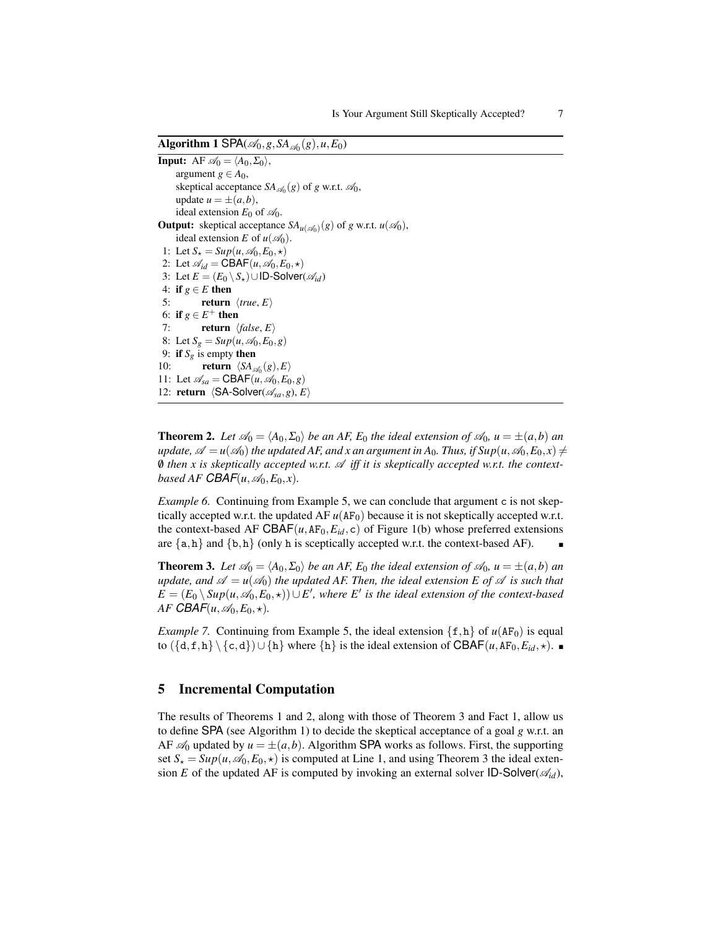Algorithm 1 SPA( $\mathscr{A}_0$ ,  $g$ ,  $SA_{\mathscr{A}_0}(g)$ ,  $u$ ,  $E_0$ )

```
Input: AF \mathcal{A}_0 = \langle A_0, \Sigma_0 \rangle,
      argument g \in A_0,
      skeptical acceptance SA_{\mathscr{A}_0}(g) of g w.r.t. \mathscr{A}_0,
      update u = \pm (a, b),
      ideal extension E_0 of \mathcal{A}_0.
Output: skeptical acceptance SA_{u(\mathscr{A}_0)}(g) of g w.r.t. u(\mathscr{A}_0),
      ideal extension E of u(\mathcal{A}_0).
 1: Let S_{\star} = Sup(u, \mathcal{A}_0, E_0, \star)2: Let \mathscr{A}_{id} = \text{CBAF}(u, \mathscr{A}_0, E_0, \star)3: Let E = (E_0 \setminus S_*) \cup \text{ID-Solver}(\mathcal{A}_{id})4: if g \in E then
 5: return \langle true, E \rangle6: if g \in E^+ then
 7: return \langle false, E \rangle8: Let S_g = Sup(u, \mathcal{A}_0, E_0, g)9: if S_g is empty then
10: return \langle SA_{\mathscr{A}_0}(g), E \rangle11: Let \mathscr{A}_{sa} = \text{CBAF}(u, \mathscr{A}_0, E_0, g)12: return \langleSA-Solver(\mathscr{A}_{sa}, g), E\rangle
```
**Theorem 2.** Let  $\mathcal{A}_0 = \langle A_0, \Sigma_0 \rangle$  be an AF,  $E_0$  the ideal extension of  $\mathcal{A}_0$ ,  $u = \pm(a, b)$  and *update,*  $\mathscr{A} = u(\mathscr{A}_0)$  the updated AF, and x an argument in A<sub>0</sub>. Thus, if  $\text{Sup}(u, \mathscr{A}_0, E_0, x) \neq 0$  $\emptyset$  then x is skeptically accepted w.r.t.  $\mathscr A$  iff it is skeptically accepted w.r.t. the context*based AF CBAF* $(u, \mathcal{A}_0, E_0, x)$ .

*Example 6.* Continuing from Example 5, we can conclude that argument c is not skeptically accepted w.r.t. the updated  $AF u(AF<sub>0</sub>)$  because it is not skeptically accepted w.r.t. the context-based AF CBAF( $u$ , AF<sub>0</sub>,  $E_{id}$ , c) of Figure 1(b) whose preferred extensions are  $\{a,h\}$  and  $\{b,h\}$  (only h is sceptically accepted w.r.t. the context-based AF).

**Theorem 3.** Let  $\mathcal{A}_0 = \langle A_0, \Sigma_0 \rangle$  be an AF,  $E_0$  the ideal extension of  $\mathcal{A}_0$ ,  $u = \pm(a, b)$  and *update, and*  $\mathscr{A} = u(\mathscr{A}_0)$  *the updated AF. Then, the ideal extension E of*  $\mathscr A$  *is such that E* =  $(E_0 \setminus Sup(u, \mathscr{A}_0, E_0, \star)) \cup E'$ , where *E*<sup>*i*</sup> is the ideal extension of the context-based  $AF$ *CBAF*( $u, \mathcal{A}_0, E_0, \star$ ).

*Example 7.* Continuing from Example 5, the ideal extension  $\{f, h\}$  of  $u(AF_0)$  is equal to  $({a, f, h} \ \{c, d\}) \cup {h}$  where  ${h}$  is the ideal extension of CBAF(*u*,AF<sub>0</sub>,E<sub>*id*</sub>, $\star$ ). ■

#### 5 Incremental Computation

The results of Theorems 1 and 2, along with those of Theorem 3 and Fact 1, allow us to define SPA (see Algorithm 1) to decide the skeptical acceptance of a goal *g* w.r.t. an AF  $\mathcal{A}_0$  updated by  $u = \pm(a, b)$ . Algorithm SPA works as follows. First, the supporting set  $S_{\star} = Sup(u, \mathcal{A}_0, E_0, \star)$  is computed at Line 1, and using Theorem 3 the ideal extension *E* of the updated AF is computed by invoking an external solver ID-Solver( $\mathscr{A}_{id}$ ),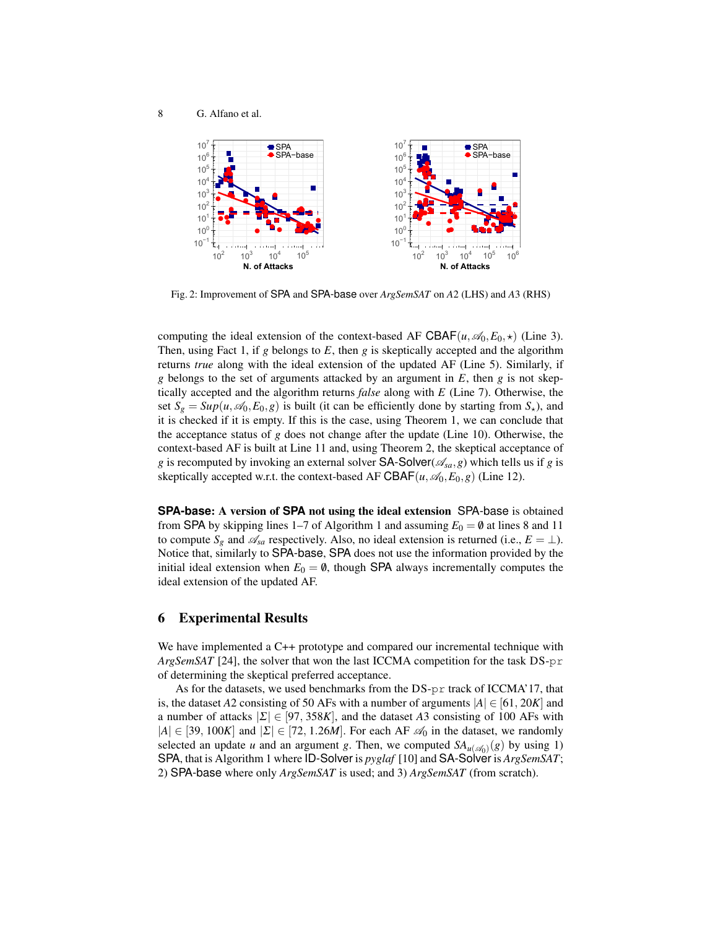

Fig. 2: Improvement of SPA and SPA-base over *ArgSemSAT* on *A*2 (LHS) and *A*3 (RHS)

computing the ideal extension of the context-based AF CBAF( $u, \mathcal{A}_0, E_0, \star$ ) (Line 3). Then, using Fact 1, if *g* belongs to *E*, then *g* is skeptically accepted and the algorithm returns *true* along with the ideal extension of the updated AF (Line 5). Similarly, if *g* belongs to the set of arguments attacked by an argument in *E*, then *g* is not skeptically accepted and the algorithm returns *false* along with *E* (Line 7). Otherwise, the set  $S_g = Sup(u, \mathcal{A}_0, E_0, g)$  is built (it can be efficiently done by starting from  $S_{\star}$ ), and it is checked if it is empty. If this is the case, using Theorem 1, we can conclude that the acceptance status of *g* does not change after the update (Line 10). Otherwise, the context-based AF is built at Line 11 and, using Theorem 2, the skeptical acceptance of *g* is recomputed by invoking an external solver **SA-Solver**( $\mathscr{A}_{sa}$ ,*g*) which tells us if *g* is skeptically accepted w.r.t. the context-based AF CBAF( $u, \mathcal{A}_0, E_0, g$ ) (Line 12).

**SPA-base**: A version of **SPA** not using the ideal extension SPA-base is obtained from SPA by skipping lines 1–7 of Algorithm 1 and assuming  $E_0 = \mathbf{0}$  at lines 8 and 11 to compute  $S_g$  and  $\mathscr{A}_{sa}$  respectively. Also, no ideal extension is returned (i.e.,  $E = \perp$ ). Notice that, similarly to SPA-base, SPA does not use the information provided by the initial ideal extension when  $E_0 = \emptyset$ , though SPA always incrementally computes the ideal extension of the updated AF.

### 6 Experimental Results

We have implemented a C++ prototype and compared our incremental technique with *ArgSemSAT* [24], the solver that won the last ICCMA competition for the task DS-pr of determining the skeptical preferred acceptance.

As for the datasets, we used benchmarks from the DS-pr track of ICCMA'17, that is, the dataset *A*2 consisting of 50 AFs with a number of arguments  $|A| \in [61, 20K]$  and a number of attacks  $|\Sigma| \in [97, 358K]$ , and the dataset A3 consisting of 100 AFs with  $|A| \in [39, 100K]$  and  $|\Sigma| \in [72, 1.26M]$ . For each AF  $\mathcal{A}_0$  in the dataset, we randomly selected an update *u* and an argument *g*. Then, we computed  $SA_{u(\mathscr{A}_0)}(g)$  by using 1) SPA, that is Algorithm 1 where ID-Solver is *pyglaf* [10] and SA-Solver is *ArgSemSAT*; 2) SPA-base where only *ArgSemSAT* is used; and 3) *ArgSemSAT* (from scratch).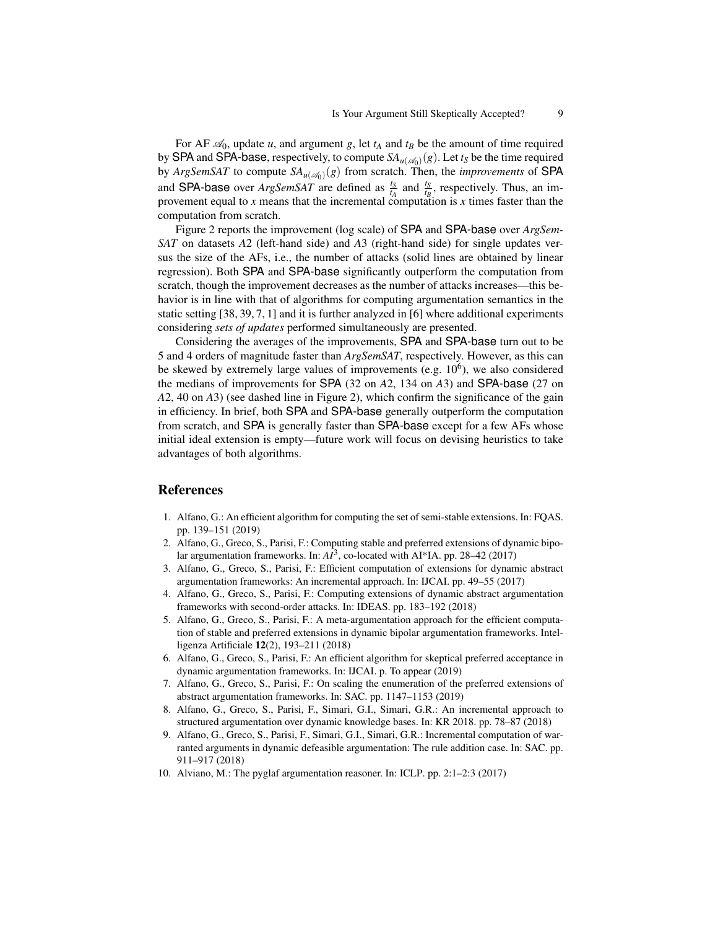For AF  $\mathcal{A}_0$ , update *u*, and argument *g*, let  $t_A$  and  $t_B$  be the amount of time required by SPA and SPA-base, respectively, to compute  $SA_{u(\mathscr{A}_0)}(g)$ . Let  $t_S$  be the time required by *ArgSemSAT* to compute  $SA_{u(\mathscr{A}_0)}(g)$  from scratch. Then, the *improvements* of SPA and SPA-base over *ArgSemSAT* are defined as  $\frac{t_S}{t_A}$  and  $\frac{t_S}{t_B}$ , respectively. Thus, an improvement equal to  $x$  means that the incremental computation is  $x$  times faster than the computation from scratch.

Figure 2 reports the improvement (log scale) of SPA and SPA-base over *ArgSem-SAT* on datasets *A*2 (left-hand side) and *A*3 (right-hand side) for single updates versus the size of the AFs, i.e., the number of attacks (solid lines are obtained by linear regression). Both SPA and SPA-base significantly outperform the computation from scratch, though the improvement decreases as the number of attacks increases—this behavior is in line with that of algorithms for computing argumentation semantics in the static setting [38, 39, 7, 1] and it is further analyzed in [6] where additional experiments considering *sets of updates* performed simultaneously are presented.

Considering the averages of the improvements, SPA and SPA-base turn out to be 5 and 4 orders of magnitude faster than *ArgSemSAT*, respectively. However, as this can be skewed by extremely large values of improvements (e.g.  $10^6$ ), we also considered the medians of improvements for SPA (32 on *A*2, 134 on *A*3) and SPA-base (27 on *A*2, 40 on *A*3) (see dashed line in Figure 2), which confirm the significance of the gain in efficiency. In brief, both SPA and SPA-base generally outperform the computation from scratch, and SPA is generally faster than SPA-base except for a few AFs whose initial ideal extension is empty—future work will focus on devising heuristics to take advantages of both algorithms.

#### References

- 1. Alfano, G.: An efficient algorithm for computing the set of semi-stable extensions. In: FQAS. pp. 139–151 (2019)
- 2. Alfano, G., Greco, S., Parisi, F.: Computing stable and preferred extensions of dynamic bipolar argumentation frameworks. In:  $AI^3$ , co-located with AI\*IA. pp. 28–42 (2017)
- 3. Alfano, G., Greco, S., Parisi, F.: Efficient computation of extensions for dynamic abstract argumentation frameworks: An incremental approach. In: IJCAI. pp. 49–55 (2017)
- 4. Alfano, G., Greco, S., Parisi, F.: Computing extensions of dynamic abstract argumentation frameworks with second-order attacks. In: IDEAS. pp. 183–192 (2018)
- 5. Alfano, G., Greco, S., Parisi, F.: A meta-argumentation approach for the efficient computation of stable and preferred extensions in dynamic bipolar argumentation frameworks. Intelligenza Artificiale 12(2), 193–211 (2018)
- 6. Alfano, G., Greco, S., Parisi, F.: An efficient algorithm for skeptical preferred acceptance in dynamic argumentation frameworks. In: IJCAI. p. To appear (2019)
- 7. Alfano, G., Greco, S., Parisi, F.: On scaling the enumeration of the preferred extensions of abstract argumentation frameworks. In: SAC. pp. 1147–1153 (2019)
- 8. Alfano, G., Greco, S., Parisi, F., Simari, G.I., Simari, G.R.: An incremental approach to structured argumentation over dynamic knowledge bases. In: KR 2018. pp. 78–87 (2018)
- 9. Alfano, G., Greco, S., Parisi, F., Simari, G.I., Simari, G.R.: Incremental computation of warranted arguments in dynamic defeasible argumentation: The rule addition case. In: SAC. pp. 911–917 (2018)
- 10. Alviano, M.: The pyglaf argumentation reasoner. In: ICLP. pp. 2:1–2:3 (2017)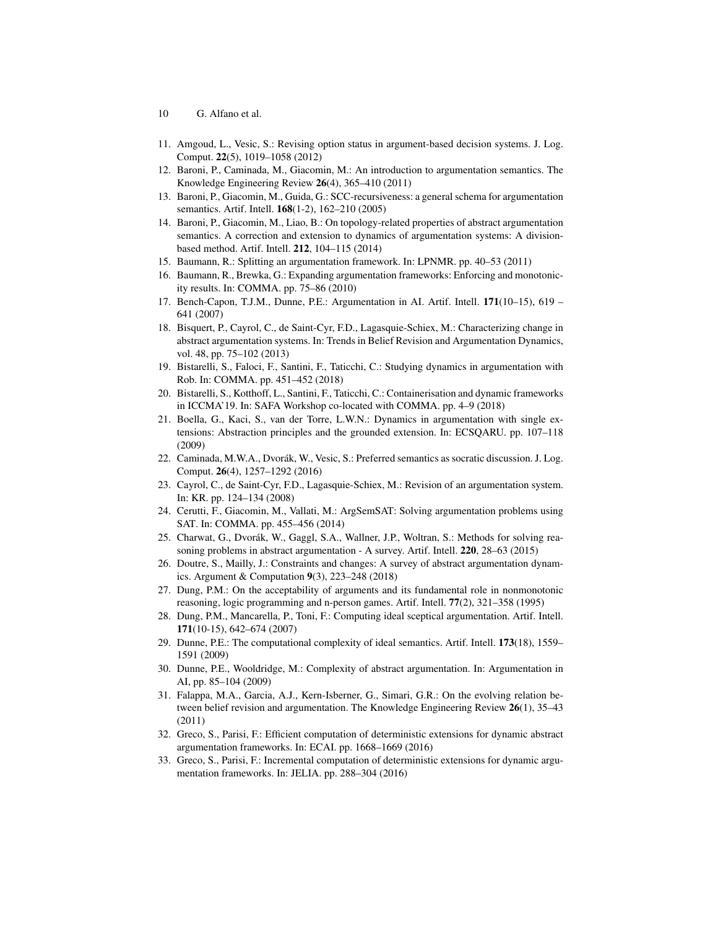- 10 G. Alfano et al.
- 11. Amgoud, L., Vesic, S.: Revising option status in argument-based decision systems. J. Log. Comput. 22(5), 1019–1058 (2012)
- 12. Baroni, P., Caminada, M., Giacomin, M.: An introduction to argumentation semantics. The Knowledge Engineering Review 26(4), 365–410 (2011)
- 13. Baroni, P., Giacomin, M., Guida, G.: SCC-recursiveness: a general schema for argumentation semantics. Artif. Intell. 168(1-2), 162–210 (2005)
- 14. Baroni, P., Giacomin, M., Liao, B.: On topology-related properties of abstract argumentation semantics. A correction and extension to dynamics of argumentation systems: A divisionbased method. Artif. Intell. 212, 104–115 (2014)
- 15. Baumann, R.: Splitting an argumentation framework. In: LPNMR. pp. 40–53 (2011)
- 16. Baumann, R., Brewka, G.: Expanding argumentation frameworks: Enforcing and monotonicity results. In: COMMA. pp. 75–86 (2010)
- 17. Bench-Capon, T.J.M., Dunne, P.E.: Argumentation in AI. Artif. Intell. 171(10–15), 619 641 (2007)
- 18. Bisquert, P., Cayrol, C., de Saint-Cyr, F.D., Lagasquie-Schiex, M.: Characterizing change in abstract argumentation systems. In: Trends in Belief Revision and Argumentation Dynamics, vol. 48, pp. 75–102 (2013)
- 19. Bistarelli, S., Faloci, F., Santini, F., Taticchi, C.: Studying dynamics in argumentation with Rob. In: COMMA. pp. 451–452 (2018)
- 20. Bistarelli, S., Kotthoff, L., Santini, F., Taticchi, C.: Containerisation and dynamic frameworks in ICCMA'19. In: SAFA Workshop co-located with COMMA. pp. 4–9 (2018)
- 21. Boella, G., Kaci, S., van der Torre, L.W.N.: Dynamics in argumentation with single extensions: Abstraction principles and the grounded extension. In: ECSQARU. pp. 107–118 (2009)
- 22. Caminada, M.W.A., Dvorák, W., Vesic, S.: Preferred semantics as socratic discussion. J. Log. Comput. 26(4), 1257–1292 (2016)
- 23. Cayrol, C., de Saint-Cyr, F.D., Lagasquie-Schiex, M.: Revision of an argumentation system. In: KR. pp. 124–134 (2008)
- 24. Cerutti, F., Giacomin, M., Vallati, M.: ArgSemSAT: Solving argumentation problems using SAT. In: COMMA. pp. 455–456 (2014)
- 25. Charwat, G., Dvorák, W., Gaggl, S.A., Wallner, J.P., Woltran, S.: Methods for solving reasoning problems in abstract argumentation - A survey. Artif. Intell. 220, 28–63 (2015)
- 26. Doutre, S., Mailly, J.: Constraints and changes: A survey of abstract argumentation dynamics. Argument & Computation 9(3), 223–248 (2018)
- 27. Dung, P.M.: On the acceptability of arguments and its fundamental role in nonmonotonic reasoning, logic programming and n-person games. Artif. Intell. 77(2), 321–358 (1995)
- 28. Dung, P.M., Mancarella, P., Toni, F.: Computing ideal sceptical argumentation. Artif. Intell. 171(10-15), 642–674 (2007)
- 29. Dunne, P.E.: The computational complexity of ideal semantics. Artif. Intell. 173(18), 1559– 1591 (2009)
- 30. Dunne, P.E., Wooldridge, M.: Complexity of abstract argumentation. In: Argumentation in AI, pp. 85–104 (2009)
- 31. Falappa, M.A., Garcia, A.J., Kern-Isberner, G., Simari, G.R.: On the evolving relation between belief revision and argumentation. The Knowledge Engineering Review 26(1), 35–43 (2011)
- 32. Greco, S., Parisi, F.: Efficient computation of deterministic extensions for dynamic abstract argumentation frameworks. In: ECAI. pp. 1668–1669 (2016)
- 33. Greco, S., Parisi, F.: Incremental computation of deterministic extensions for dynamic argumentation frameworks. In: JELIA. pp. 288–304 (2016)